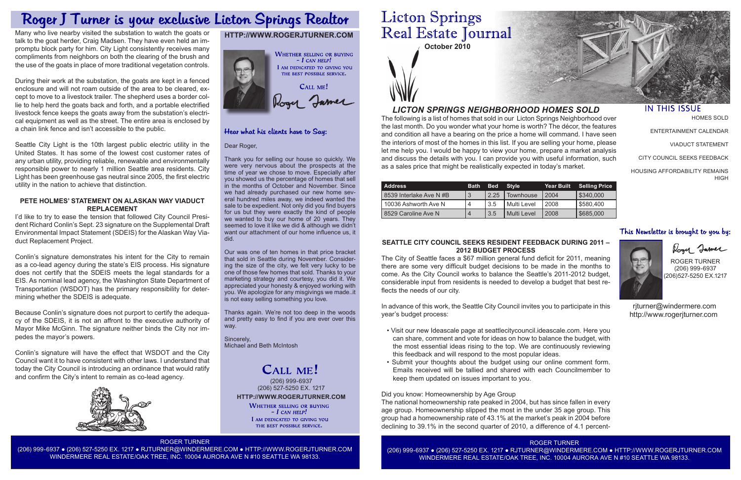

The following is a list of homes that sold in our Licton Springs Neighborhood over the last month. Do you wonder what your home is worth? The décor, the features and condition all have a bearing on the price a home will command. I have seen the interiors of most of the homes in this list. If you are selling your home, please let me help you. I would be happy to view your home, prepare a market analysis and discuss the details with you. I can provide you with useful information, such as a sales price that might be realistically expected in today's market.

# *LICTON SPRINGS NEIGHBORHOOD HOMES SOLD*

# **HTTP://WWW.ROGERJTURNER.COM**



# Hear what his clients have to Say:

| <b>Address</b>         | <b>Bath</b> | <b>Bed</b> Style |             | Year Built | <b>Selling Price</b> |
|------------------------|-------------|------------------|-------------|------------|----------------------|
| 8539 Interlake Ave N#B | 3           | 2.25             | Townhouse   | 2004       | 5340,000             |
| 10036 Ashworth Ave N   | 4           | 3.5              | Multi Level | 2008       | \$580,400            |
| 8529 Caroline Ave N    | 4           | 3.5              | Multi Level | 2008       | \$685,000            |

### Dear Roger,

Thank you for selling our house so quickly. We were very nervous about the prospects at the time of year we chose to move. Especially after you showed us the percentage of homes that sell in the months of October and November. Since we had already purchased our new home several hundred miles away, we indeed wanted the sale to be expedient. Not only did you find buyers for us but they were exactly the kind of people we wanted to buy our home of 20 years. They seemed to love it like we did & although we didn't want our attachment of our home influence us, it did.

HOUSING AFFORDABILITY REMAINS **HIGH** 

# This Newsletter is brought to you by:



# Rogy James

**HTTP://WWW.ROGERJTURNER.COM** (206) 999-6937 (206) 527-5250 EX. 1217

WHETHER SELLING OR BUYING  $-$  I can help! I AM DEDICATED TO GIVING YOU THE BEST POSSIBLE SERVICE.

Our was one of ten homes in that price bracket that sold in Seattle during November. Considering the size of the city, we felt very lucky to be one of those few homes that sold. Thanks to your marketing strategy and courtesy, you did it. We appreciated your honesty & enjoyed working with you. We apologize for any misgivings we made..it is not easy selling something you love.

Thanks again. We're not too deep in the woods and pretty easy to find if you are ever over this way.

Sincerely, Michael and Beth McIntosh

# CALL ME!

ROGER TURNER (206) 999-6937 ● (206) 527-5250 EX. 1217 ● RJTURNER@WINDERMERE.COM ● HTTP://WWW.ROGERJTURNER.COM WINDERMERE REAL ESTATE/OAK TREE, INC. 10004 AURORA AVE N #10 SEATTLE WA 98133.

# **Licton Springs** Real Estate Journal

ROGER TURNER (206) 999-6937 ● (206) 527-5250 EX. 1217 ● RJTURNER@WINDERMERE.COM ● HTTP://WWW.ROGERJTURNER.COM WINDERMERE REAL ESTATE/OAK TREE, INC. 10004 AURORA AVE N #10 SEATTLE WA 98133.



## **IN THIS ISSUE**

HOMES SOLD

ENTERTAINMENT CALENDAR

VIADUCT STATEMENT

CITY COUNCIL SEEKS FEEDBACK

ROGER TURNER (206) 999-6937 (206)527-5250 EX.1217

 rjturner@windermere.com http://www.rogerjturner.com

## **SEATTLE CITY COUNCIL SEEKS RESIDENT FEEDBACK DURING 2011 – 2012 BUDGET PROCESS**

The City of Seattle faces a \$67 million general fund deficit for 2011, meaning there are some very difficult budget decisions to be made in the months to come. As the City Council works to balance the Seattle's 2011-2012 budget, considerable input from residents is needed to develop a budget that best reflects the needs of our city.

In advance of this work, the Seattle City Council invites you to participate in this year's budget process:

- Visit our new Ideascale page at seattlecitycouncil.ideascale.com. Here you can share, comment and vote for ideas on how to balance the budget, with the most essential ideas rising to the top. We are continuously reviewing this feedback and will respond to the most popular ideas.
- Submit your thoughts about the budget using our online comment form. Emails received will be tallied and shared with each Councilmember to keep them updated on issues important to you.

Did you know: Homeownership by Age Group The national homeownership rate peaked in 2004, but has since fallen in every age group. Homeownership slipped the most in the under 35 age group. This group had a homeownership rate of 43.1% at the market's peak in 2004 before declining to 39.1% in the second quarter of 2010, a difference of 4.1 percent-

# Roger J Turner is your exclusive Licton Springs Realtor

Many who live nearby visited the substation to watch the goats or talk to the goat herder, Craig Madsen. They have even held an impromptu block party for him. City Light consistently receives many compliments from neighbors on both the clearing of the brush and the use of the goats in place of more traditional vegetation controls.

During their work at the substation, the goats are kept in a fenced enclosure and will not roam outside of the area to be cleared, except to move to a livestock trailer. The shepherd uses a border collie to help herd the goats back and forth, and a portable electrified livestock fence keeps the goats away from the substation's electrical equipment as well as the street. The entire area is enclosed by a chain link fence and isn't accessible to the public.

Seattle City Light is the 10th largest public electric utility in the United States. It has some of the lowest cost customer rates of any urban utility, providing reliable, renewable and environmentally responsible power to nearly 1 million Seattle area residents. City Light has been greenhouse gas neutral since 2005, the first electric utility in the nation to achieve that distinction.

### **PETE HOLMES' STATEMENT ON ALASKAN WAY VIADUCT REPLACEMENT**

I'd like to try to ease the tension that followed City Council President Richard Conlin's Sept. 23 signature on the Supplemental Draft Environmental Impact Statement (SDEIS) for the Alaskan Way Viaduct Replacement Project.

Conlin's signature demonstrates his intent for the City to remain as a co-lead agency during the state's EIS process. His signature does not certify that the SDEIS meets the legal standards for a EIS. As nominal lead agency, the Washington State Department of Transportation (WSDOT) has the primary responsibility for determining whether the SDEIS is adequate.

Because Conlin's signature does not purport to certify the adequacy of the SDEIS, it is not an affront to the executive authority of Mayor Mike McGinn. The signature neither binds the City nor impedes the mayor's powers.

Conlin's signature will have the effect that WSDOT and the City Council want it to have consistent with other laws. I understand that today the City Council is introducing an ordinance that would ratify and confirm the City's intent to remain as co-lead agency.